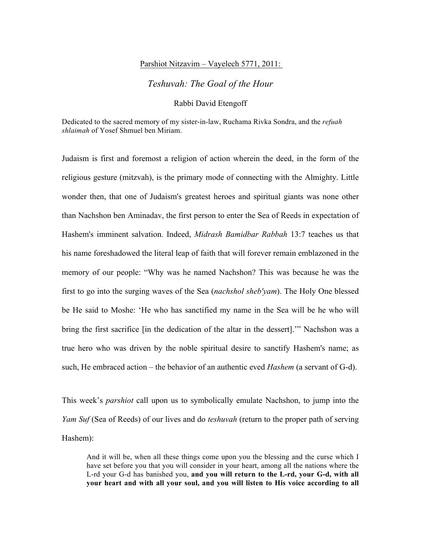#### Parshiot Nitzavim – Vayelech 5771, 2011:

# *Teshuvah: The Goal of the Hour*

#### Rabbi David Etengoff

Dedicated to the sacred memory of my sister-in-law, Ruchama Rivka Sondra, and the *refuah shlaimah* of Yosef Shmuel ben Miriam.

Judaism is first and foremost a religion of action wherein the deed, in the form of the religious gesture (mitzvah), is the primary mode of connecting with the Almighty. Little wonder then, that one of Judaism's greatest heroes and spiritual giants was none other than Nachshon ben Aminadav, the first person to enter the Sea of Reeds in expectation of Hashem's imminent salvation. Indeed, *Midrash Bamidbar Rabbah* 13:7 teaches us that his name foreshadowed the literal leap of faith that will forever remain emblazoned in the memory of our people: "Why was he named Nachshon? This was because he was the first to go into the surging waves of the Sea (*nachshol sheb'yam*). The Holy One blessed be He said to Moshe: 'He who has sanctified my name in the Sea will be he who will bring the first sacrifice [in the dedication of the altar in the dessert].'" Nachshon was a true hero who was driven by the noble spiritual desire to sanctify Hashem's name; as such, He embraced action – the behavior of an authentic eved *Hashem* (a servant of G-d).

This week's *parshiot* call upon us to symbolically emulate Nachshon, to jump into the *Yam Suf* (Sea of Reeds) of our lives and do *teshuvah* (return to the proper path of serving Hashem):

And it will be, when all these things come upon you the blessing and the curse which I have set before you that you will consider in your heart, among all the nations where the L-rd your G-d has banished you, **and you will return to the L-rd, your G-d, with all your heart and with all your soul, and you will listen to His voice according to all**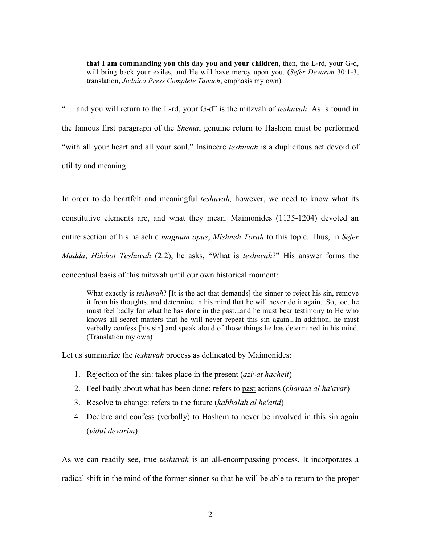**that I am commanding you this day you and your children,** then, the L-rd, your G-d, will bring back your exiles, and He will have mercy upon you. (*Sefer Devarim* 30:1-3, translation, *Judaica Press Complete Tanach*, emphasis my own)

" ... and you will return to the L-rd, your G-d" is the mitzvah of *teshuvah*. As is found in the famous first paragraph of the *Shema*, genuine return to Hashem must be performed "with all your heart and all your soul." Insincere *teshuvah* is a duplicitous act devoid of utility and meaning.

In order to do heartfelt and meaningful *teshuvah,* however, we need to know what its constitutive elements are, and what they mean. Maimonides (1135-1204) devoted an entire section of his halachic *magnum opus*, *Mishneh Torah* to this topic. Thus, in *Sefer Madda*, *Hilchot Teshuvah* (2:2), he asks, "What is *teshuvah*?" His answer forms the conceptual basis of this mitzvah until our own historical moment:

What exactly is *teshuvah*? It is the act that demands] the sinner to reject his sin, remove it from his thoughts, and determine in his mind that he will never do it again...So, too, he must feel badly for what he has done in the past...and he must bear testimony to He who knows all secret matters that he will never repeat this sin again...In addition, he must verbally confess [his sin] and speak aloud of those things he has determined in his mind. (Translation my own)

Let us summarize the *teshuvah* process as delineated by Maimonides:

- 1. Rejection of the sin: takes place in the present (*azivat hacheit*)
- 2. Feel badly about what has been done: refers to past actions (*charata al ha'avar*)
- 3. Resolve to change: refers to the future (*kabbalah al he'atid*)
- 4. Declare and confess (verbally) to Hashem to never be involved in this sin again (*vidui devarim*)

As we can readily see, true *teshuvah* is an all-encompassing process. It incorporates a radical shift in the mind of the former sinner so that he will be able to return to the proper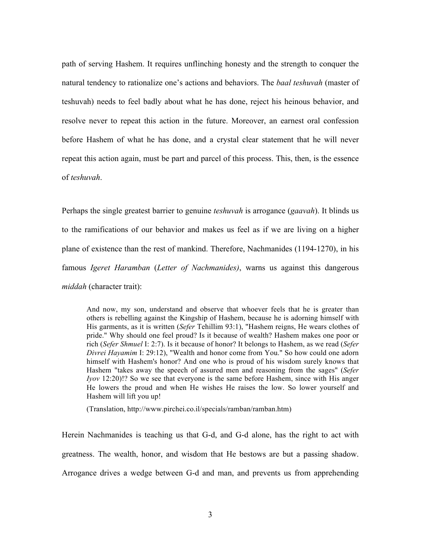path of serving Hashem. It requires unflinching honesty and the strength to conquer the natural tendency to rationalize one's actions and behaviors. The *baal teshuvah* (master of teshuvah) needs to feel badly about what he has done, reject his heinous behavior, and resolve never to repeat this action in the future. Moreover, an earnest oral confession before Hashem of what he has done, and a crystal clear statement that he will never repeat this action again, must be part and parcel of this process. This, then, is the essence of *teshuvah*.

Perhaps the single greatest barrier to genuine *teshuvah* is arrogance (*gaavah*). It blinds us to the ramifications of our behavior and makes us feel as if we are living on a higher plane of existence than the rest of mankind. Therefore, Nachmanides (1194-1270), in his famous *Igeret Haramban* (*Letter of Nachmanides)*, warns us against this dangerous *middah* (character trait):

And now, my son, understand and observe that whoever feels that he is greater than others is rebelling against the Kingship of Hashem, because he is adorning himself with His garments, as it is written (*Sefer* Tehillim 93:1), "Hashem reigns, He wears clothes of pride." Why should one feel proud? Is it because of wealth? Hashem makes one poor or rich (*Sefer Shmuel* I: 2:7). Is it because of honor? It belongs to Hashem, as we read (*Sefer Divrei Hayamim* I: 29:12), "Wealth and honor come from You." So how could one adorn himself with Hashem's honor? And one who is proud of his wisdom surely knows that Hashem "takes away the speech of assured men and reasoning from the sages" (*Sefer Iyov* 12:20)!? So we see that everyone is the same before Hashem, since with His anger He lowers the proud and when He wishes He raises the low. So lower yourself and Hashem will lift you up!

(Translation, http://www.pirchei.co.il/specials/ramban/ramban.htm)

Herein Nachmanides is teaching us that G-d, and G-d alone, has the right to act with greatness. The wealth, honor, and wisdom that He bestows are but a passing shadow. Arrogance drives a wedge between G-d and man, and prevents us from apprehending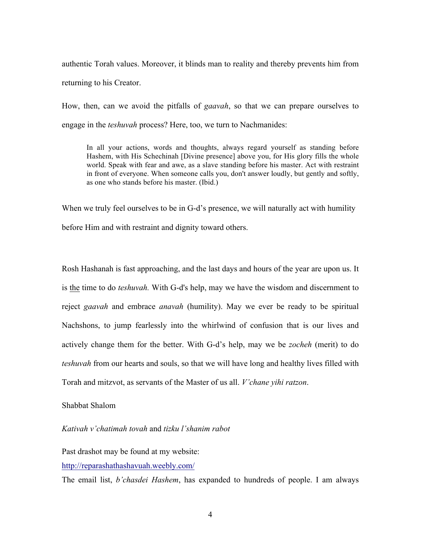authentic Torah values. Moreover, it blinds man to reality and thereby prevents him from returning to his Creator.

How, then, can we avoid the pitfalls of *gaavah*, so that we can prepare ourselves to engage in the *teshuvah* process? Here, too, we turn to Nachmanides:

In all your actions, words and thoughts, always regard yourself as standing before Hashem, with His Schechinah [Divine presence] above you, for His glory fills the whole world. Speak with fear and awe, as a slave standing before his master. Act with restraint in front of everyone. When someone calls you, don't answer loudly, but gently and softly, as one who stands before his master. (Ibid.)

When we truly feel ourselves to be in G-d's presence, we will naturally act with humility before Him and with restraint and dignity toward others.

Rosh Hashanah is fast approaching, and the last days and hours of the year are upon us. It is the time to do *teshuvah.* With G-d's help, may we have the wisdom and discernment to reject *gaavah* and embrace *anavah* (humility). May we ever be ready to be spiritual Nachshons, to jump fearlessly into the whirlwind of confusion that is our lives and actively change them for the better. With G-d's help, may we be *zocheh* (merit) to do *teshuvah* from our hearts and souls, so that we will have long and healthy lives filled with Torah and mitzvot, as servants of the Master of us all. *V'chane yihi ratzon*.

# Shabbat Shalom

## *Kativah v'chatimah tovah* and *tizku l'shanim rabot*

Past drashot may be found at my website:

http://reparashathashavuah.weebly.com/

The email list, *b'chasdei Hashem*, has expanded to hundreds of people. I am always